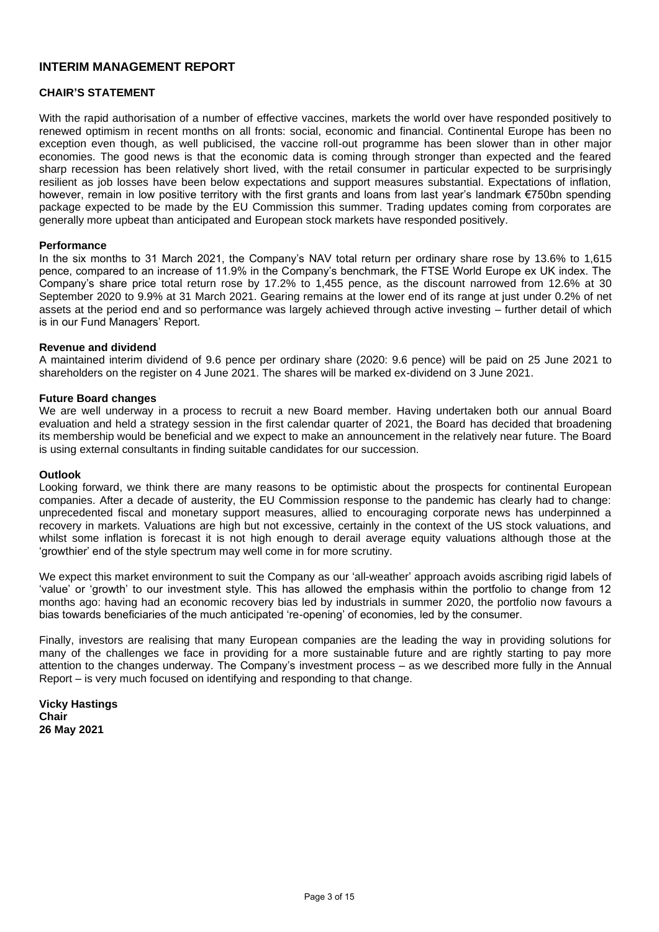## **INTERIM MANAGEMENT REPORT**

### **CHAIR'S STATEMENT**

With the rapid authorisation of a number of effective vaccines, markets the world over have responded positively to renewed optimism in recent months on all fronts: social, economic and financial. Continental Europe has been no exception even though, as well publicised, the vaccine roll-out programme has been slower than in other major economies. The good news is that the economic data is coming through stronger than expected and the feared sharp recession has been relatively short lived, with the retail consumer in particular expected to be surprisingly resilient as job losses have been below expectations and support measures substantial. Expectations of inflation, however, remain in low positive territory with the first grants and loans from last year's landmark €750bn spending package expected to be made by the EU Commission this summer. Trading updates coming from corporates are generally more upbeat than anticipated and European stock markets have responded positively.

#### **Performance**

In the six months to 31 March 2021, the Company's NAV total return per ordinary share rose by 13.6% to 1,615 pence, compared to an increase of 11.9% in the Company's benchmark, the FTSE World Europe ex UK index. The Company's share price total return rose by 17.2% to 1,455 pence, as the discount narrowed from 12.6% at 30 September 2020 to 9.9% at 31 March 2021. Gearing remains at the lower end of its range at just under 0.2% of net assets at the period end and so performance was largely achieved through active investing – further detail of which is in our Fund Managers' Report.

#### **Revenue and dividend**

A maintained interim dividend of 9.6 pence per ordinary share (2020: 9.6 pence) will be paid on 25 June 2021 to shareholders on the register on 4 June 2021. The shares will be marked ex-dividend on 3 June 2021.

#### **Future Board changes**

We are well underway in a process to recruit a new Board member. Having undertaken both our annual Board evaluation and held a strategy session in the first calendar quarter of 2021, the Board has decided that broadening its membership would be beneficial and we expect to make an announcement in the relatively near future. The Board is using external consultants in finding suitable candidates for our succession.

#### **Outlook**

Looking forward, we think there are many reasons to be optimistic about the prospects for continental European companies. After a decade of austerity, the EU Commission response to the pandemic has clearly had to change: unprecedented fiscal and monetary support measures, allied to encouraging corporate news has underpinned a recovery in markets. Valuations are high but not excessive, certainly in the context of the US stock valuations, and whilst some inflation is forecast it is not high enough to derail average equity valuations although those at the 'growthier' end of the style spectrum may well come in for more scrutiny.

We expect this market environment to suit the Company as our 'all-weather' approach avoids ascribing rigid labels of 'value' or 'growth' to our investment style. This has allowed the emphasis within the portfolio to change from 12 months ago: having had an economic recovery bias led by industrials in summer 2020, the portfolio now favours a bias towards beneficiaries of the much anticipated 're-opening' of economies, led by the consumer.

Finally, investors are realising that many European companies are the leading the way in providing solutions for many of the challenges we face in providing for a more sustainable future and are rightly starting to pay more attention to the changes underway. The Company's investment process – as we described more fully in the Annual Report – is very much focused on identifying and responding to that change.

**Vicky Hastings Chair 26 May 2021**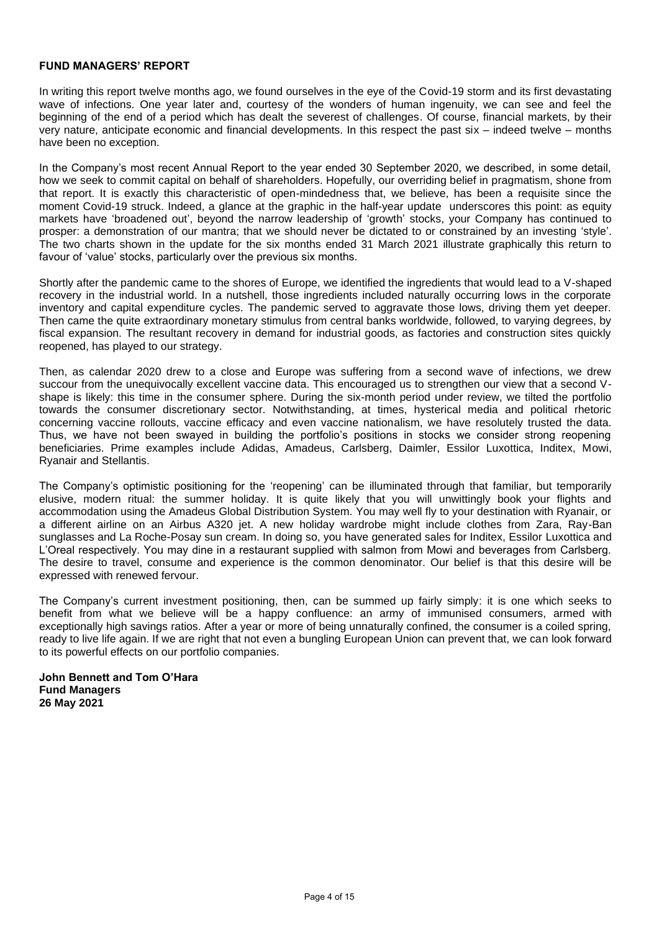#### **FUND MANAGERS' REPORT**

In writing this report twelve months ago, we found ourselves in the eye of the Covid-19 storm and its first devastating wave of infections. One year later and, courtesy of the wonders of human ingenuity, we can see and feel the beginning of the end of a period which has dealt the severest of challenges. Of course, financial markets, by their very nature, anticipate economic and financial developments. In this respect the past six – indeed twelve – months have been no exception.

In the Company's most recent Annual Report to the year ended 30 September 2020, we described, in some detail, how we seek to commit capital on behalf of shareholders. Hopefully, our overriding belief in pragmatism, shone from that report. It is exactly this characteristic of open-mindedness that, we believe, has been a requisite since the moment Covid-19 struck. Indeed, a glance at the graphic in the half-year update underscores this point: as equity markets have 'broadened out', beyond the narrow leadership of 'growth' stocks, your Company has continued to prosper: a demonstration of our mantra; that we should never be dictated to or constrained by an investing 'style'. The two charts shown in the update for the six months ended 31 March 2021 illustrate graphically this return to favour of 'value' stocks, particularly over the previous six months.

Shortly after the pandemic came to the shores of Europe, we identified the ingredients that would lead to a V-shaped recovery in the industrial world. In a nutshell, those ingredients included naturally occurring lows in the corporate inventory and capital expenditure cycles. The pandemic served to aggravate those lows, driving them yet deeper. Then came the quite extraordinary monetary stimulus from central banks worldwide, followed, to varying degrees, by fiscal expansion. The resultant recovery in demand for industrial goods, as factories and construction sites quickly reopened, has played to our strategy.

Then, as calendar 2020 drew to a close and Europe was suffering from a second wave of infections, we drew succour from the unequivocally excellent vaccine data. This encouraged us to strengthen our view that a second Vshape is likely: this time in the consumer sphere. During the six-month period under review, we tilted the portfolio towards the consumer discretionary sector. Notwithstanding, at times, hysterical media and political rhetoric concerning vaccine rollouts, vaccine efficacy and even vaccine nationalism, we have resolutely trusted the data. Thus, we have not been swayed in building the portfolio's positions in stocks we consider strong reopening beneficiaries. Prime examples include Adidas, Amadeus, Carlsberg, Daimler, Essilor Luxottica, Inditex, Mowi, Ryanair and Stellantis.

The Company's optimistic positioning for the 'reopening' can be illuminated through that familiar, but temporarily elusive, modern ritual: the summer holiday. It is quite likely that you will unwittingly book your flights and accommodation using the Amadeus Global Distribution System. You may well fly to your destination with Ryanair, or a different airline on an Airbus A320 jet. A new holiday wardrobe might include clothes from Zara, Ray-Ban sunglasses and La Roche-Posay sun cream. In doing so, you have generated sales for Inditex, Essilor Luxottica and L'Oreal respectively. You may dine in a restaurant supplied with salmon from Mowi and beverages from Carlsberg. The desire to travel, consume and experience is the common denominator. Our belief is that this desire will be expressed with renewed fervour.

The Company's current investment positioning, then, can be summed up fairly simply: it is one which seeks to benefit from what we believe will be a happy confluence: an army of immunised consumers, armed with exceptionally high savings ratios. After a year or more of being unnaturally confined, the consumer is a coiled spring, ready to live life again. If we are right that not even a bungling European Union can prevent that, we can look forward to its powerful effects on our portfolio companies.

**John Bennett and Tom O'Hara Fund Managers 26 May 2021**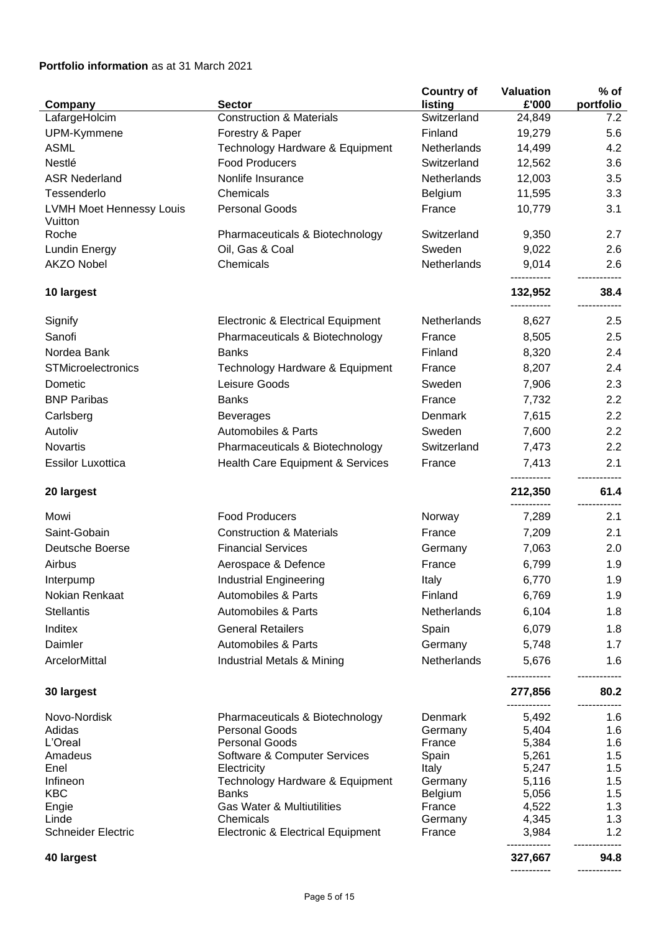# **Portfolio information** as at 31 March 2021

|                                            |                                                       | <b>Country of</b> | <b>Valuation</b>       | $%$ of     |
|--------------------------------------------|-------------------------------------------------------|-------------------|------------------------|------------|
| Company                                    | <b>Sector</b>                                         | listing           | £'000                  | portfolio  |
| LafargeHolcim                              | <b>Construction &amp; Materials</b>                   | Switzerland       | 24,849                 | 7.2        |
| UPM-Kymmene                                | Forestry & Paper                                      | Finland           | 19,279                 | 5.6        |
| <b>ASML</b>                                | Technology Hardware & Equipment                       | Netherlands       | 14,499                 | 4.2        |
| Nestlé                                     | <b>Food Producers</b>                                 | Switzerland       | 12,562                 | 3.6        |
| <b>ASR Nederland</b>                       | Nonlife Insurance                                     | Netherlands       | 12,003                 | 3.5        |
| Tessenderlo                                | Chemicals                                             | Belgium           | 11,595                 | 3.3        |
| <b>LVMH Moet Hennessy Louis</b><br>Vuitton | <b>Personal Goods</b>                                 | France            | 10,779                 | 3.1        |
| Roche                                      | Pharmaceuticals & Biotechnology                       | Switzerland       | 9,350                  | 2.7        |
| <b>Lundin Energy</b>                       | Oil, Gas & Coal                                       | Sweden            | 9,022                  | 2.6        |
| <b>AKZO Nobel</b>                          | Chemicals                                             | Netherlands       | 9,014                  | 2.6        |
| 10 largest                                 |                                                       |                   | 132,952<br>----------- | 38.4       |
| Signify                                    | Electronic & Electrical Equipment                     | Netherlands       | 8,627                  | 2.5        |
| Sanofi                                     | Pharmaceuticals & Biotechnology                       | France            | 8,505                  | 2.5        |
| Nordea Bank                                | <b>Banks</b>                                          | Finland           | 8,320                  | 2.4        |
| <b>STMicroelectronics</b>                  | Technology Hardware & Equipment                       | France            | 8,207                  | 2.4        |
| Dometic                                    | Leisure Goods                                         | Sweden            | 7,906                  | 2.3        |
| <b>BNP Paribas</b>                         | <b>Banks</b>                                          | France            | 7,732                  | 2.2        |
| Carlsberg                                  | <b>Beverages</b>                                      | Denmark           | 7,615                  | 2.2        |
| Autoliv                                    | Automobiles & Parts                                   | Sweden            | 7,600                  | 2.2        |
| <b>Novartis</b>                            | Pharmaceuticals & Biotechnology                       | Switzerland       | 7,473                  | 2.2        |
| <b>Essilor Luxottica</b>                   | Health Care Equipment & Services                      | France            | 7,413<br>-----------   | 2.1        |
| 20 largest                                 |                                                       |                   | 212,350<br>----------- | 61.4       |
| Mowi                                       | <b>Food Producers</b>                                 | Norway            | 7,289                  | 2.1        |
| Saint-Gobain                               | <b>Construction &amp; Materials</b>                   | France            | 7,209                  | 2.1        |
| Deutsche Boerse                            | <b>Financial Services</b>                             | Germany           | 7,063                  | 2.0        |
| Airbus                                     | Aerospace & Defence                                   | France            | 6,799                  | 1.9        |
| Interpump                                  | <b>Industrial Engineering</b>                         | Italy             | 6,770                  | 1.9        |
| Nokian Renkaat                             | <b>Automobiles &amp; Parts</b>                        | Finland           | 6,769                  | 1.9        |
| <b>Stellantis</b>                          | <b>Automobiles &amp; Parts</b>                        | Netherlands       | 6,104                  | 1.8        |
| Inditex                                    | <b>General Retailers</b>                              | Spain             | 6,079                  | 1.8        |
| Daimler                                    | <b>Automobiles &amp; Parts</b>                        | Germany           | 5,748                  | 1.7        |
| ArcelorMittal                              | Industrial Metals & Mining                            | Netherlands       | 5,676                  | 1.6        |
|                                            |                                                       |                   |                        |            |
| 30 largest                                 |                                                       |                   | 277,856                | 80.2       |
| Novo-Nordisk                               | Pharmaceuticals & Biotechnology                       | Denmark           | 5,492                  | 1.6        |
| Adidas                                     | <b>Personal Goods</b>                                 | Germany           | 5,404                  | 1.6        |
| L'Oreal<br>Amadeus                         | <b>Personal Goods</b><br>Software & Computer Services | France<br>Spain   | 5,384<br>5,261         | 1.6<br>1.5 |
| Enel                                       | Electricity                                           | Italy             | 5,247                  | 1.5        |
| Infineon                                   | Technology Hardware & Equipment                       | Germany           | 5,116                  | 1.5        |
| <b>KBC</b>                                 | <b>Banks</b>                                          | Belgium           | 5,056                  | 1.5        |
| Engie                                      | <b>Gas Water &amp; Multiutilities</b>                 | France            | 4,522                  | 1.3        |
| Linde                                      | Chemicals                                             | Germany           | 4,345                  | 1.3        |
| <b>Schneider Electric</b>                  | Electronic & Electrical Equipment                     | France            | 3,984<br>------------  | 1.2        |
| 40 largest                                 |                                                       |                   | 327,667<br>----------- | 94.8       |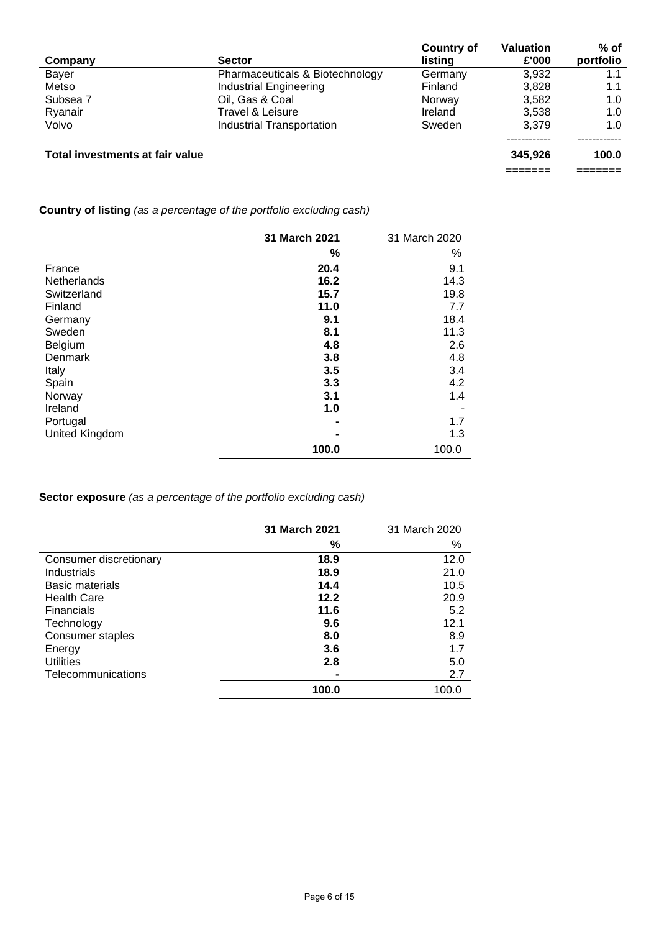|                                 |                                 | <b>Country of</b> | <b>Valuation</b> | $%$ of    |
|---------------------------------|---------------------------------|-------------------|------------------|-----------|
| Company                         | <b>Sector</b>                   | listing           | £'000            | portfolio |
| Bayer                           | Pharmaceuticals & Biotechnology | Germany           | 3,932            |           |
| Metso                           | <b>Industrial Engineering</b>   | Finland           | 3.828            | 1.1       |
| Subsea 7                        | Oil, Gas & Coal                 | Norway            | 3,582            | 1.0       |
| Ryanair                         | Travel & Leisure                | Ireland           | 3.538            | 1.0       |
| Volvo                           | Industrial Transportation       | Sweden            | 3.379            | 1.0       |
|                                 |                                 |                   |                  |           |
| Total investments at fair value |                                 |                   | 345,926          | 100.0     |
|                                 |                                 |                   |                  |           |

**Country of listing** *(as a percentage of the portfolio excluding cash)*

|                | 31 March 2021 | 31 March 2020 |
|----------------|---------------|---------------|
|                | %             | %             |
| France         | 20.4          | 9.1           |
| Netherlands    | 16.2          | 14.3          |
| Switzerland    | 15.7          | 19.8          |
| <b>Finland</b> | 11.0          | 7.7           |
| Germany        | 9.1           | 18.4          |
| Sweden         | 8.1           | 11.3          |
| Belgium        | 4.8           | 2.6           |
| Denmark        | 3.8           | 4.8           |
| Italy          | 3.5           | 3.4           |
| Spain          | 3.3           | 4.2           |
| Norway         | 3.1           | 1.4           |
| Ireland        | 1.0           |               |
| Portugal       |               | 1.7           |
| United Kingdom |               | 1.3           |
|                | 100.0         | 100.0         |

**Sector exposure** *(as a percentage of the portfolio excluding cash)*

|                        | 31 March 2021 | 31 March 2020 |
|------------------------|---------------|---------------|
|                        | %             | %             |
| Consumer discretionary | 18.9          | 12.0          |
| Industrials            | 18.9          | 21.0          |
| Basic materials        | 14.4          | 10.5          |
| <b>Health Care</b>     | 12.2          | 20.9          |
| <b>Financials</b>      | 11.6          | 5.2           |
| Technology             | 9.6           | 12.1          |
| Consumer staples       | 8.0           | 8.9           |
| Energy                 | 3.6           | 1.7           |
| <b>Utilities</b>       | 2.8           | 5.0           |
| Telecommunications     |               | 2.7           |
|                        | 100.0         | 100.0         |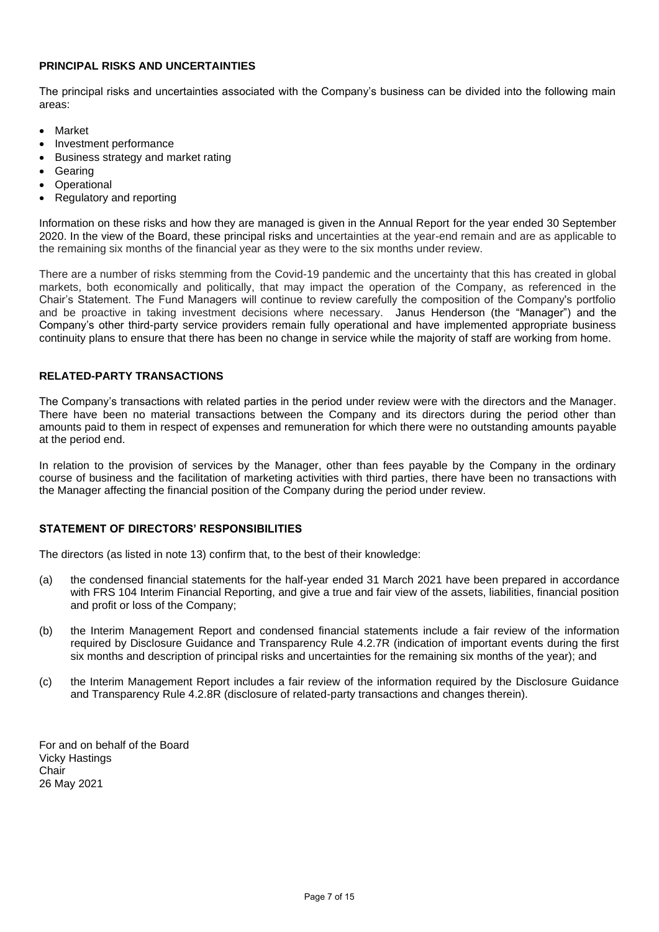### **PRINCIPAL RISKS AND UNCERTAINTIES**

The principal risks and uncertainties associated with the Company's business can be divided into the following main areas:

- Market
- Investment performance
- Business strategy and market rating
- **Gearing**
- **Operational**
- Regulatory and reporting

Information on these risks and how they are managed is given in the Annual Report for the year ended 30 September 2020. In the view of the Board, these principal risks and uncertainties at the year-end remain and are as applicable to the remaining six months of the financial year as they were to the six months under review.

There are a number of risks stemming from the Covid-19 pandemic and the uncertainty that this has created in global markets, both economically and politically, that may impact the operation of the Company, as referenced in the Chair's Statement. The Fund Managers will continue to review carefully the composition of the Company's portfolio and be proactive in taking investment decisions where necessary. Janus Henderson (the "Manager") and the Company's other third-party service providers remain fully operational and have implemented appropriate business continuity plans to ensure that there has been no change in service while the majority of staff are working from home.

### **RELATED-PARTY TRANSACTIONS**

The Company's transactions with related parties in the period under review were with the directors and the Manager. There have been no material transactions between the Company and its directors during the period other than amounts paid to them in respect of expenses and remuneration for which there were no outstanding amounts payable at the period end.

In relation to the provision of services by the Manager, other than fees payable by the Company in the ordinary course of business and the facilitation of marketing activities with third parties, there have been no transactions with the Manager affecting the financial position of the Company during the period under review.

### **STATEMENT OF DIRECTORS' RESPONSIBILITIES**

The directors (as listed in note 13) confirm that, to the best of their knowledge:

- (a) the condensed financial statements for the half-year ended 31 March 2021 have been prepared in accordance with FRS 104 Interim Financial Reporting, and give a true and fair view of the assets, liabilities, financial position and profit or loss of the Company;
- (b) the Interim Management Report and condensed financial statements include a fair review of the information required by Disclosure Guidance and Transparency Rule 4.2.7R (indication of important events during the first six months and description of principal risks and uncertainties for the remaining six months of the year); and
- (c) the Interim Management Report includes a fair review of the information required by the Disclosure Guidance and Transparency Rule 4.2.8R (disclosure of related-party transactions and changes therein).

For and on behalf of the Board Vicky Hastings Chair 26 May 2021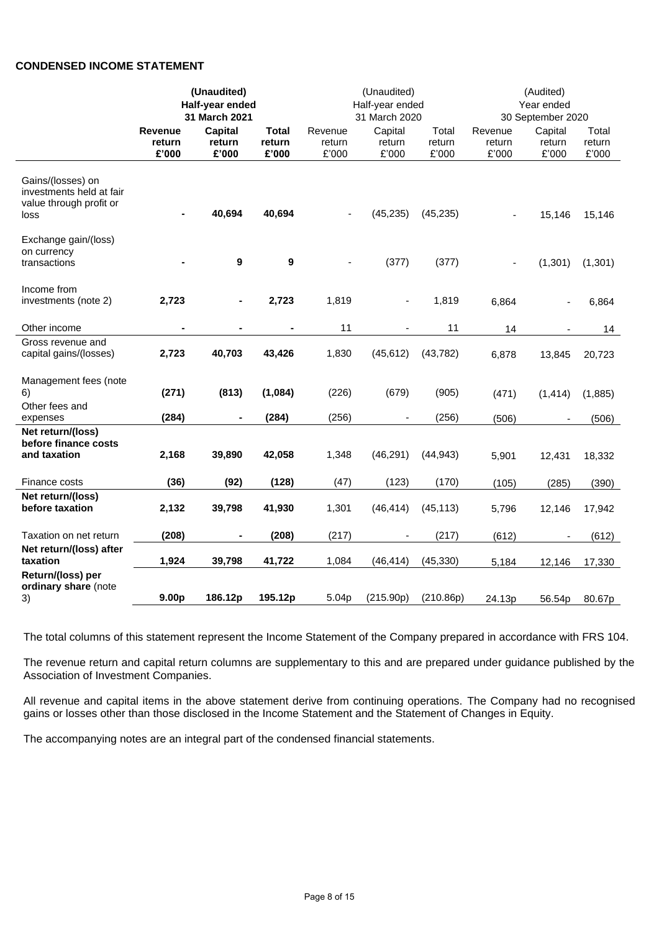## **CONDENSED INCOME STATEMENT**

|                                                                                  | (Unaudited)<br>Half-year ended<br>31 March 2021 |                                   |                                 | (Unaudited)<br>Half-year ended<br>31 March 2020 |                            | (Audited)<br>Year ended<br>30 September 2020 |                            |                            |                          |
|----------------------------------------------------------------------------------|-------------------------------------------------|-----------------------------------|---------------------------------|-------------------------------------------------|----------------------------|----------------------------------------------|----------------------------|----------------------------|--------------------------|
|                                                                                  | <b>Revenue</b><br>return<br>£'000               | <b>Capital</b><br>return<br>£'000 | <b>Total</b><br>return<br>£'000 | Revenue<br>return<br>£'000                      | Capital<br>return<br>£'000 | Total<br>return<br>£'000                     | Revenue<br>return<br>£'000 | Capital<br>return<br>£'000 | Total<br>return<br>£'000 |
| Gains/(losses) on<br>investments held at fair<br>value through profit or<br>loss |                                                 | 40,694                            | 40,694                          |                                                 | (45, 235)                  | (45, 235)                                    |                            | 15,146                     | 15,146                   |
| Exchange gain/(loss)<br>on currency<br>transactions                              |                                                 | 9                                 | 9                               |                                                 | (377)                      | (377)                                        |                            | (1, 301)                   | (1, 301)                 |
| Income from<br>investments (note 2)                                              | 2,723                                           |                                   | 2,723                           | 1,819                                           |                            | 1,819                                        | 6,864                      |                            | 6,864                    |
| Other income                                                                     | -                                               | $\blacksquare$                    |                                 | 11                                              |                            | 11                                           | 14                         |                            | 14                       |
| Gross revenue and<br>capital gains/(losses)                                      | 2,723                                           | 40,703                            | 43,426                          | 1,830                                           | (45, 612)                  | (43, 782)                                    | 6,878                      | 13,845                     | 20,723                   |
| Management fees (note<br>6)<br>Other fees and                                    | (271)                                           | (813)                             | (1,084)                         | (226)                                           | (679)                      | (905)                                        | (471)                      | (1, 414)                   | (1,885)                  |
| expenses                                                                         | (284)                                           |                                   | (284)                           | (256)                                           |                            | (256)                                        | (506)                      |                            | (506)                    |
| Net return/(loss)<br>before finance costs<br>and taxation                        | 2,168                                           | 39,890                            | 42,058                          | 1,348                                           | (46, 291)                  | (44, 943)                                    | 5,901                      | 12,431                     | 18,332                   |
| Finance costs                                                                    | (36)                                            | (92)                              | (128)                           | (47)                                            | (123)                      | (170)                                        | (105)                      | (285)                      | (390)                    |
| Net return/(loss)<br>before taxation                                             | 2,132                                           | 39,798                            | 41,930                          | 1,301                                           | (46, 414)                  | (45, 113)                                    | 5,796                      | 12,146                     | 17,942                   |
| Taxation on net return                                                           | (208)                                           | $\blacksquare$                    | (208)                           | (217)                                           |                            | (217)                                        | (612)                      |                            | (612)                    |
| Net return/(loss) after<br>taxation                                              | 1,924                                           | 39,798                            | 41,722                          | 1,084                                           | (46, 414)                  | (45, 330)                                    | 5,184                      | 12,146                     | 17,330                   |
| Return/(loss) per<br>ordinary share (note<br>3)                                  | 9.00 <sub>p</sub>                               | 186.12p                           | 195.12p                         | 5.04p                                           | (215.90p)                  | (210.86p)                                    | 24.13p                     | 56.54p                     | 80.67p                   |

The total columns of this statement represent the Income Statement of the Company prepared in accordance with FRS 104.

The revenue return and capital return columns are supplementary to this and are prepared under guidance published by the Association of Investment Companies.

All revenue and capital items in the above statement derive from continuing operations. The Company had no recognised gains or losses other than those disclosed in the Income Statement and the Statement of Changes in Equity.

The accompanying notes are an integral part of the condensed financial statements.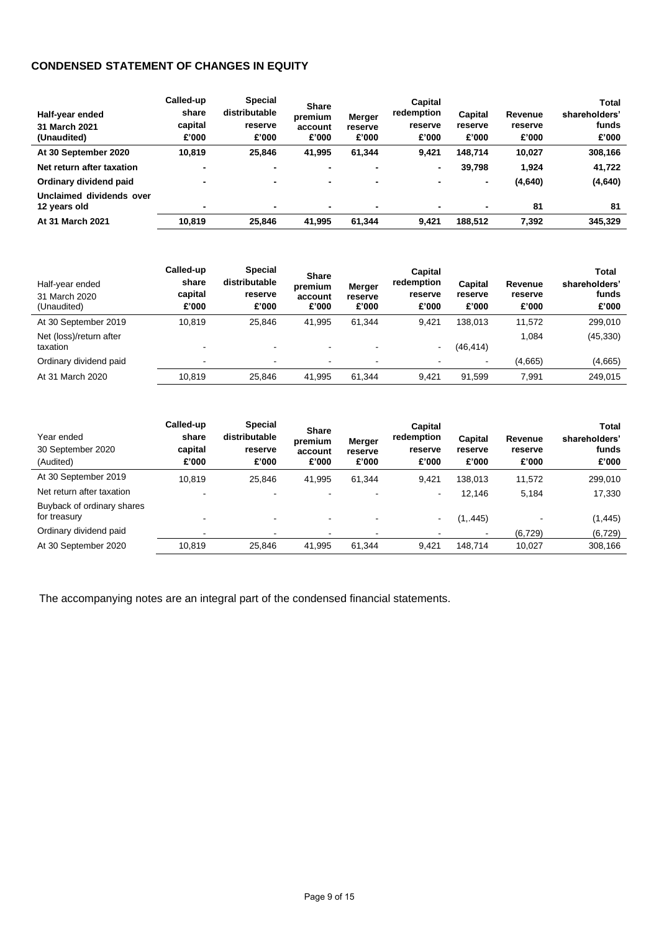## **CONDENSED STATEMENT OF CHANGES IN EQUITY**

| Half-year ended<br>31 March 2021<br>(Unaudited) | Called-up<br>share<br>capital<br>£'000 | Special<br>distributable<br>reserve<br>£'000 | <b>Share</b><br>premium<br>account<br>£'000 | Merger<br>reserve<br>£'000 | Capital<br>redemption<br>reserve<br>£'000 | Capital<br>reserve<br>£'000 | Revenue<br>reserve<br>£'000 | <b>Total</b><br>shareholders'<br>funds<br>£'000 |
|-------------------------------------------------|----------------------------------------|----------------------------------------------|---------------------------------------------|----------------------------|-------------------------------------------|-----------------------------|-----------------------------|-------------------------------------------------|
| At 30 September 2020                            | 10.819                                 | 25,846                                       | 41,995                                      | 61,344                     | 9,421                                     | 148.714                     | 10,027                      | 308,166                                         |
| Net return after taxation                       | -                                      |                                              |                                             |                            | ۰                                         | 39.798                      | 1.924                       | 41,722                                          |
| Ordinary dividend paid                          |                                        | -                                            | $\blacksquare$                              | ٠                          | $\blacksquare$                            | ٠                           | (4,640)                     | (4,640)                                         |
| Unclaimed dividends over<br>12 years old        | ۰                                      | $\blacksquare$                               | $\blacksquare$                              | $\overline{\phantom{0}}$   | $\blacksquare$                            | $\blacksquare$              | 81                          | 81                                              |
| At 31 March 2021                                | 10,819                                 | 25,846                                       | 41,995                                      | 61,344                     | 9.421                                     | 188.512                     | 7,392                       | 345,329                                         |

| Half-year ended<br>31 March 2020<br>(Unaudited) | Called-up<br>share<br>capital<br>£'000 | <b>Special</b><br>distributable<br>reserve<br>£'000 | <b>Share</b><br>premium<br>account<br>£'000 | Merger<br>reserve<br>£'000 | <b>Capital</b><br>redemption<br>reserve<br>£'000 | Capital<br>reserve<br>£'000 | Revenue<br>reserve<br>£'000 | Total<br>shareholders'<br>funds<br>£'000 |
|-------------------------------------------------|----------------------------------------|-----------------------------------------------------|---------------------------------------------|----------------------------|--------------------------------------------------|-----------------------------|-----------------------------|------------------------------------------|
| At 30 September 2019                            | 10.819                                 | 25,846                                              | 41.995                                      | 61.344                     | 9.421                                            | 138.013                     | 11.572                      | 299.010                                  |
| Net (loss)/return after<br>taxation             |                                        | -                                                   | $\overline{\phantom{0}}$                    |                            | $\blacksquare$                                   | (46, 414)                   | 1.084                       | (45, 330)                                |
| Ordinary dividend paid                          | ۰                                      | $\blacksquare$                                      | $\overline{\phantom{a}}$                    | $\overline{\phantom{0}}$   | $\blacksquare$                                   | $\blacksquare$              | (4,665)                     | (4,665)                                  |
| At 31 March 2020                                | 10.819                                 | 25,846                                              | 41,995                                      | 61.344                     | 9.421                                            | 91.599                      | 7.991                       | 249,015                                  |

| Year ended<br>30 September 2020<br>(Audited) | Called-up<br>share<br>capital<br>£'000 | Special<br>distributable<br>reserve<br>£'000 | <b>Share</b><br>premium<br>account<br>£'000 | Merger<br>reserve<br>£'000 | Capital<br>redemption<br>reserve<br>£'000 | Capital<br>reserve<br>£'000 | Revenue<br>reserve<br>£'000 | <b>Total</b><br>shareholders'<br>funds<br>£'000 |
|----------------------------------------------|----------------------------------------|----------------------------------------------|---------------------------------------------|----------------------------|-------------------------------------------|-----------------------------|-----------------------------|-------------------------------------------------|
| At 30 September 2019                         | 10.819                                 | 25,846                                       | 41.995                                      | 61,344                     | 9.421                                     | 138.013                     | 11,572                      | 299,010                                         |
| Net return after taxation                    |                                        |                                              |                                             |                            | ۰                                         | 12,146                      | 5,184                       | 17,330                                          |
| Buyback of ordinary shares<br>for treasury   |                                        |                                              |                                             |                            | ۰                                         | (1, 445)                    |                             | (1, 445)                                        |
| Ordinary dividend paid                       |                                        |                                              |                                             |                            |                                           | $\blacksquare$              | (6, 729)                    | (6, 729)                                        |
| At 30 September 2020                         | 10.819                                 | 25,846                                       | 41,995                                      | 61,344                     | 9.421                                     | 148.714                     | 10,027                      | 308,166                                         |

The accompanying notes are an integral part of the condensed financial statements.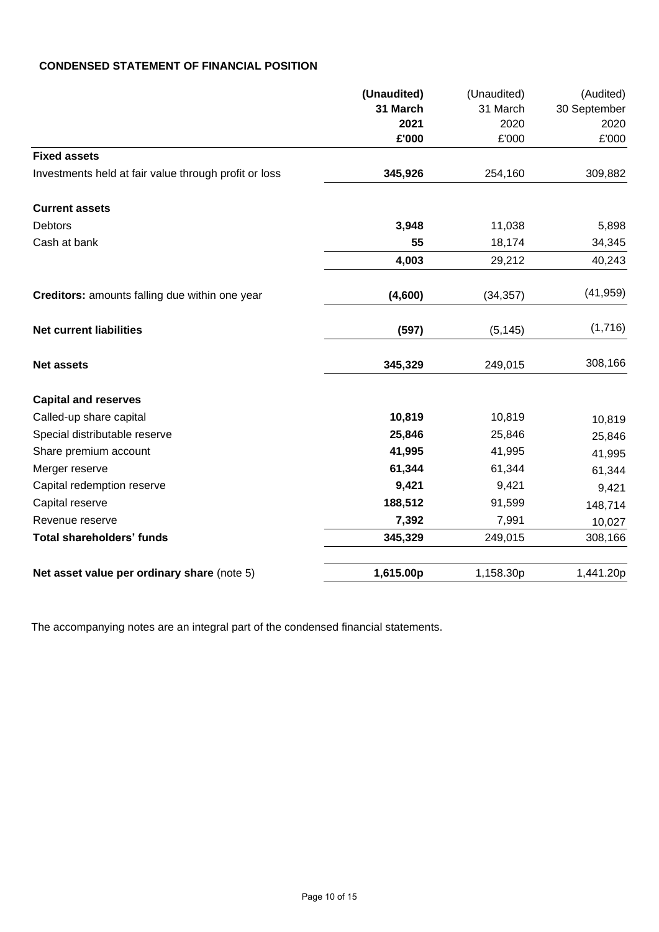## **CONDENSED STATEMENT OF FINANCIAL POSITION**

| (Unaudited) | (Unaudited) | (Audited)    |
|-------------|-------------|--------------|
| 31 March    | 31 March    | 30 September |
| 2021        | 2020        | 2020         |
| £'000       | £'000       | £'000        |
|             |             |              |
| 345,926     | 254,160     | 309,882      |
|             |             |              |
| 3,948       | 11,038      | 5,898        |
| 55          | 18,174      | 34,345       |
| 4,003       | 29,212      | 40,243       |
| (4,600)     | (34, 357)   | (41, 959)    |
| (597)       | (5, 145)    | (1,716)      |
| 345,329     | 249,015     | 308,166      |
|             |             |              |
| 10,819      | 10,819      | 10,819       |
| 25,846      | 25,846      | 25,846       |
| 41,995      | 41,995      | 41,995       |
| 61,344      | 61,344      | 61,344       |
| 9,421       | 9,421       | 9,421        |
| 188,512     | 91,599      | 148,714      |
| 7,392       | 7,991       | 10,027       |
| 345,329     | 249,015     | 308,166      |
| 1,615.00p   | 1,158.30p   | 1,441.20p    |
|             |             |              |

The accompanying notes are an integral part of the condensed financial statements.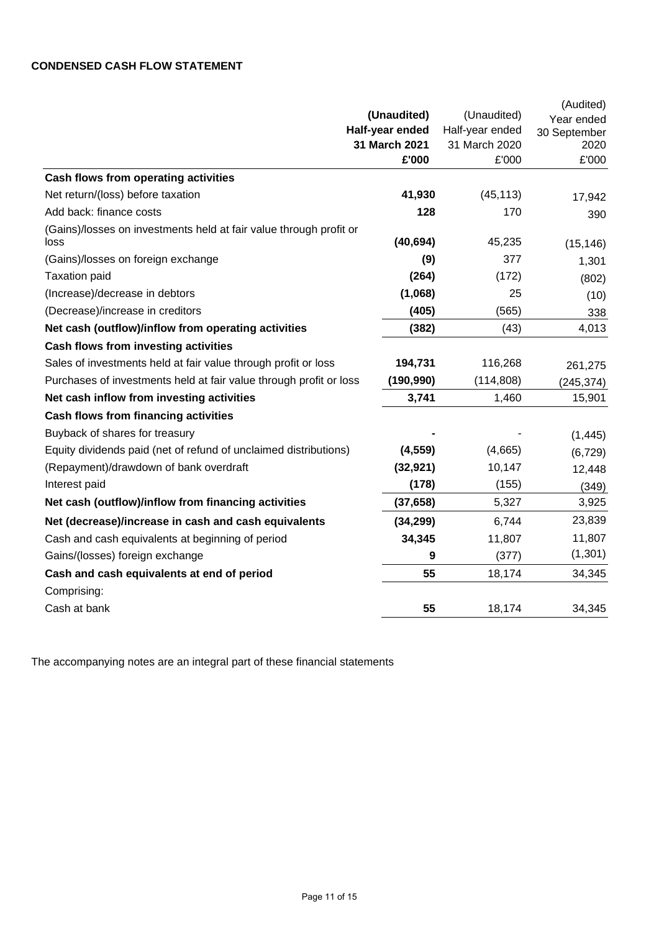# **CONDENSED CASH FLOW STATEMENT**

|                                                                            |                 |                 | (Audited)    |
|----------------------------------------------------------------------------|-----------------|-----------------|--------------|
|                                                                            | (Unaudited)     | (Unaudited)     | Year ended   |
|                                                                            | Half-year ended | Half-year ended | 30 September |
|                                                                            | 31 March 2021   | 31 March 2020   | 2020         |
|                                                                            | £'000           | £'000           | £'000        |
| Cash flows from operating activities                                       |                 |                 |              |
| Net return/(loss) before taxation                                          | 41,930          | (45, 113)       | 17,942       |
| Add back: finance costs                                                    | 128             | 170             | 390          |
| (Gains)/losses on investments held at fair value through profit or<br>loss | (40, 694)       | 45,235          | (15, 146)    |
| (Gains)/losses on foreign exchange                                         | (9)             | 377             | 1,301        |
| <b>Taxation paid</b>                                                       | (264)           | (172)           | (802)        |
| (Increase)/decrease in debtors                                             | (1,068)         | 25              | (10)         |
| (Decrease)/increase in creditors                                           | (405)           | (565)           | 338          |
| Net cash (outflow)/inflow from operating activities                        | (382)           | (43)            | 4,013        |
| <b>Cash flows from investing activities</b>                                |                 |                 |              |
| Sales of investments held at fair value through profit or loss             | 194,731         | 116,268         | 261,275      |
| Purchases of investments held at fair value through profit or loss         | (190, 990)      | (114, 808)      | (245, 374)   |
| Net cash inflow from investing activities                                  | 3,741           | 1,460           | 15,901       |
| <b>Cash flows from financing activities</b>                                |                 |                 |              |
| Buyback of shares for treasury                                             |                 |                 | (1, 445)     |
| Equity dividends paid (net of refund of unclaimed distributions)           | (4, 559)        | (4,665)         | (6, 729)     |
| (Repayment)/drawdown of bank overdraft                                     | (32, 921)       | 10,147          | 12,448       |
| Interest paid                                                              | (178)           | (155)           | (349)        |
| Net cash (outflow)/inflow from financing activities                        | (37, 658)       | 5,327           | 3,925        |
| Net (decrease)/increase in cash and cash equivalents                       | (34, 299)       | 6,744           | 23,839       |
| Cash and cash equivalents at beginning of period                           | 34,345          | 11,807          | 11,807       |
| Gains/(losses) foreign exchange                                            | 9               | (377)           | (1,301)      |
| Cash and cash equivalents at end of period                                 | 55              | 18,174          | 34,345       |
| Comprising:                                                                |                 |                 |              |
| Cash at bank                                                               | 55              | 18,174          | 34,345       |
|                                                                            |                 |                 |              |

The accompanying notes are an integral part of these financial statements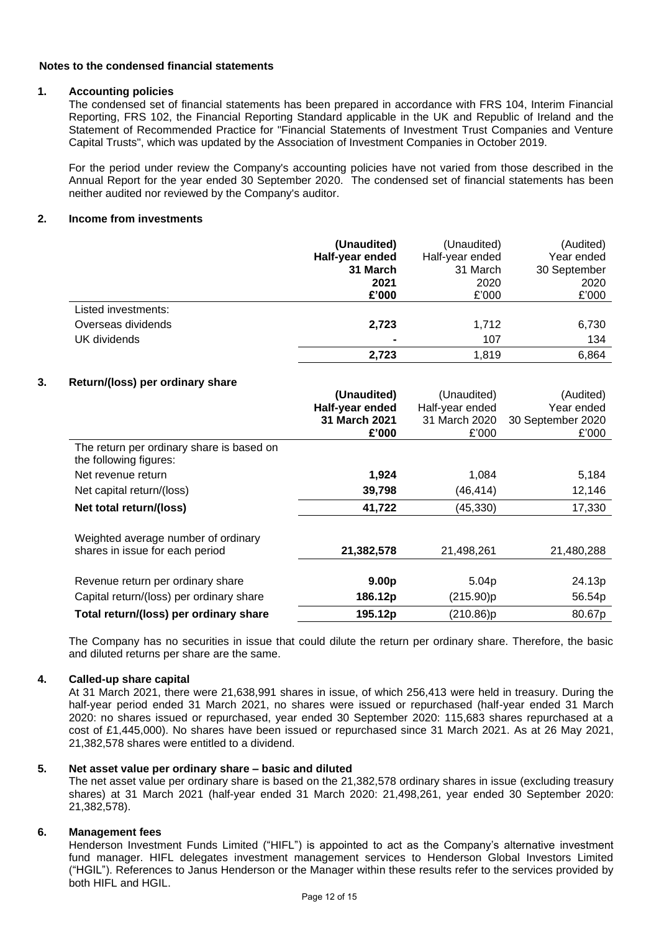### **Notes to the condensed financial statements**

### **1. Accounting policies**

The condensed set of financial statements has been prepared in accordance with FRS 104, Interim Financial Reporting, FRS 102, the Financial Reporting Standard applicable in the UK and Republic of Ireland and the Statement of Recommended Practice for "Financial Statements of Investment Trust Companies and Venture Capital Trusts", which was updated by the Association of Investment Companies in October 2019.

For the period under review the Company's accounting policies have not varied from those described in the Annual Report for the year ended 30 September 2020. The condensed set of financial statements has been neither audited nor reviewed by the Company's auditor.

### **2. Income from investments**

|                     | (Unaudited)     | (Unaudited)     | (Audited)    |
|---------------------|-----------------|-----------------|--------------|
|                     | Half-year ended | Half-year ended | Year ended   |
|                     | 31 March        | 31 March        | 30 September |
|                     | 2021            | 2020            | 2020         |
|                     | £'000           | £'000           | £'000        |
| Listed investments: |                 |                 |              |
| Overseas dividends  | 2,723           | 1,712           | 6,730        |
| UK dividends        | $\blacksquare$  | 107             | 134          |
|                     | 2,723           | 1.819           | 6,864        |

### **3. Return/(loss) per ordinary share**

|                                                                        | (Unaudited)<br>Half-year ended<br>31 March 2021<br>£'000 | (Unaudited)<br>Half-year ended<br>31 March 2020<br>£'000 | (Audited)<br>Year ended<br>30 September 2020<br>£'000 |
|------------------------------------------------------------------------|----------------------------------------------------------|----------------------------------------------------------|-------------------------------------------------------|
| The return per ordinary share is based on<br>the following figures:    |                                                          |                                                          |                                                       |
| Net revenue return                                                     | 1,924                                                    | 1,084                                                    | 5,184                                                 |
| Net capital return/(loss)                                              | 39,798                                                   | (46, 414)                                                | 12,146                                                |
| Net total return/(loss)                                                | 41,722                                                   | (45, 330)                                                | 17,330                                                |
| Weighted average number of ordinary<br>shares in issue for each period | 21,382,578                                               | 21,498,261                                               | 21,480,288                                            |
| Revenue return per ordinary share                                      | 9.00 <sub>p</sub>                                        | 5.04 <sub>p</sub>                                        | 24.13p                                                |
| Capital return/(loss) per ordinary share                               | 186.12p                                                  | (215.90)p                                                | 56.54p                                                |
| Total return/(loss) per ordinary share                                 | 195.12p                                                  | (210.86)p                                                | 80.67p                                                |

The Company has no securities in issue that could dilute the return per ordinary share. Therefore, the basic and diluted returns per share are the same.

### **4. Called-up share capital**

At 31 March 2021, there were 21,638,991 shares in issue, of which 256,413 were held in treasury. During the half-year period ended 31 March 2021, no shares were issued or repurchased (half-year ended 31 March 2020: no shares issued or repurchased, year ended 30 September 2020: 115,683 shares repurchased at a cost of £1,445,000). No shares have been issued or repurchased since 31 March 2021. As at 26 May 2021, 21,382,578 shares were entitled to a dividend.

## **5. Net asset value per ordinary share – basic and diluted**

The net asset value per ordinary share is based on the 21,382,578 ordinary shares in issue (excluding treasury shares) at 31 March 2021 (half-year ended 31 March 2020: 21,498,261, year ended 30 September 2020: 21,382,578).

### **6. Management fees**

Henderson Investment Funds Limited ("HIFL") is appointed to act as the Company's alternative investment fund manager. HIFL delegates investment management services to Henderson Global Investors Limited ("HGIL"). References to Janus Henderson or the Manager within these results refer to the services provided by both HIFL and HGIL.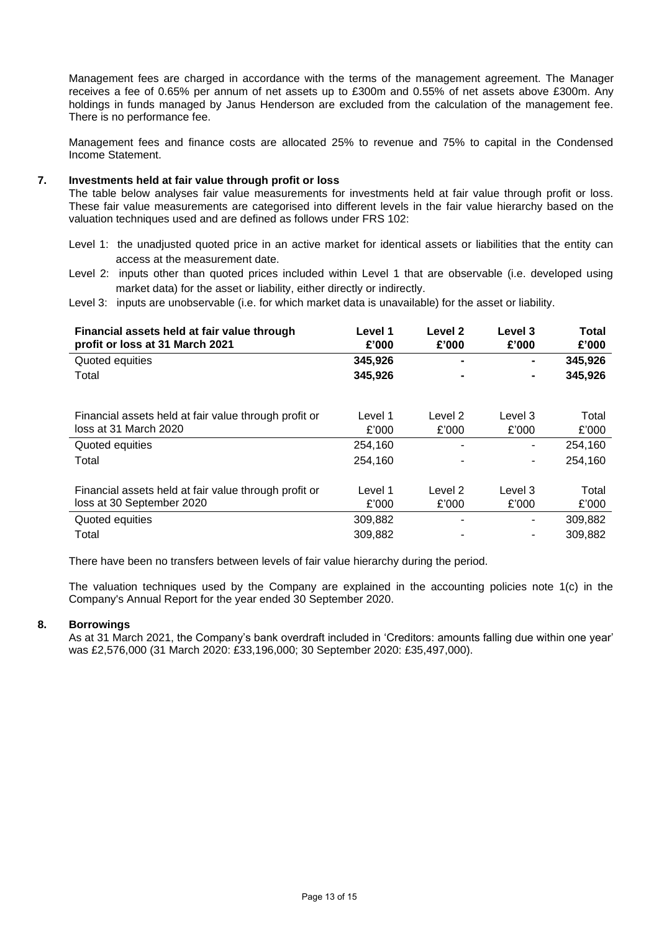Management fees are charged in accordance with the terms of the management agreement. The Manager receives a fee of 0.65% per annum of net assets up to £300m and 0.55% of net assets above £300m. Any holdings in funds managed by Janus Henderson are excluded from the calculation of the management fee. There is no performance fee.

Management fees and finance costs are allocated 25% to revenue and 75% to capital in the Condensed Income Statement.

### **7. Investments held at fair value through profit or loss**

The table below analyses fair value measurements for investments held at fair value through profit or loss. These fair value measurements are categorised into different levels in the fair value hierarchy based on the valuation techniques used and are defined as follows under FRS 102:

- Level 1: the unadjusted quoted price in an active market for identical assets or liabilities that the entity can access at the measurement date.
- Level 2: inputs other than quoted prices included within Level 1 that are observable (i.e. developed using market data) for the asset or liability, either directly or indirectly.

Level 3: inputs are unobservable (i.e. for which market data is unavailable) for the asset or liability.

| Financial assets held at fair value through<br>profit or loss at 31 March 2021 | Level 1<br>£'000 | Level 2<br>£'000 | Level 3<br>£'000 | Total<br>£'000 |
|--------------------------------------------------------------------------------|------------------|------------------|------------------|----------------|
| Quoted equities                                                                | 345,926          | $\blacksquare$   | ۰                | 345,926        |
| Total                                                                          | 345,926          |                  |                  | 345,926        |
| Financial assets held at fair value through profit or                          | Level 1          | Level 2          | Level 3          | Total          |
| loss at 31 March 2020                                                          | £'000            | £'000            | £'000            | £'000          |
| Quoted equities                                                                | 254,160          |                  | ۰.               | 254.160        |
| Total                                                                          | 254,160          |                  |                  | 254.160        |
|                                                                                |                  |                  |                  |                |
| Financial assets held at fair value through profit or                          | Level 1          | Level 2          | Level 3          | Total          |
| loss at 30 September 2020                                                      | £'000            | £'000            | £'000            | £'000          |
| Quoted equities                                                                | 309,882          |                  |                  | 309,882        |
| Total                                                                          | 309,882          |                  |                  | 309,882        |

There have been no transfers between levels of fair value hierarchy during the period.

The valuation techniques used by the Company are explained in the accounting policies note 1(c) in the Company's Annual Report for the year ended 30 September 2020.

#### **8. Borrowings**

As at 31 March 2021, the Company's bank overdraft included in 'Creditors: amounts falling due within one year' was £2,576,000 (31 March 2020: £33,196,000; 30 September 2020: £35,497,000).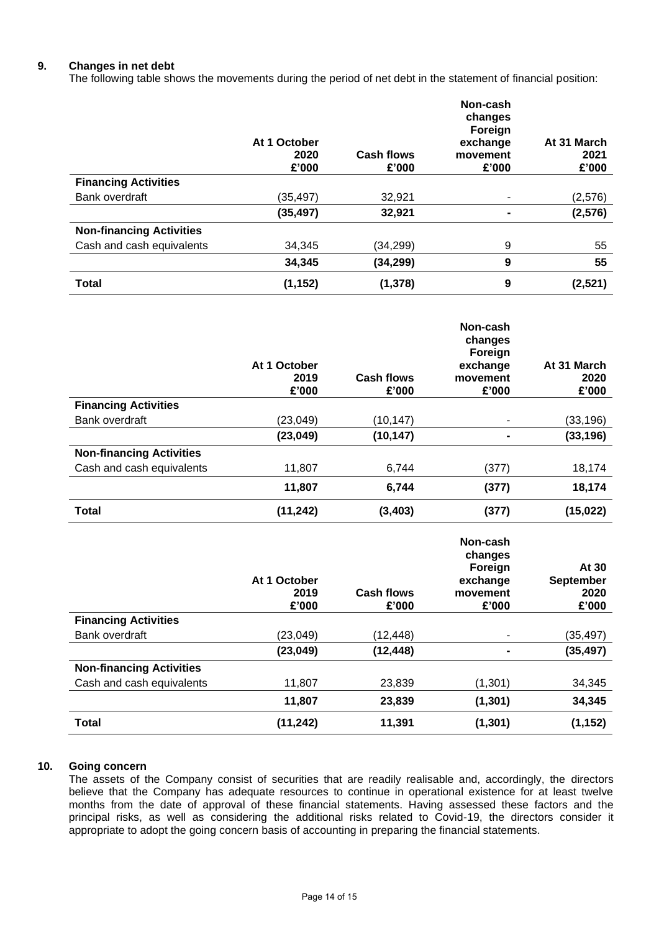### **9. Changes in net debt**

The following table shows the movements during the period of net debt in the statement of financial position:

|                                 | At 1 October<br>2020<br>£'000 | <b>Cash flows</b><br>£'000 | Non-cash<br>changes<br>Foreign<br>exchange<br>movement<br>£'000 | At 31 March<br>2021<br>£'000 |
|---------------------------------|-------------------------------|----------------------------|-----------------------------------------------------------------|------------------------------|
| <b>Financing Activities</b>     |                               |                            |                                                                 |                              |
| Bank overdraft                  | (35, 497)                     | 32,921                     |                                                                 | (2, 576)                     |
|                                 | (35, 497)                     | 32,921                     |                                                                 | (2, 576)                     |
| <b>Non-financing Activities</b> |                               |                            |                                                                 |                              |
| Cash and cash equivalents       | 34,345                        | (34, 299)                  | 9                                                               | 55                           |
|                                 | 34,345                        | (34, 299)                  | 9                                                               | 55                           |
| <b>Total</b>                    | (1, 152)                      | (1, 378)                   | 9                                                               | (2,521)                      |

|                                 | At 1 October<br>2019<br>£'000 | <b>Cash flows</b><br>£'000 | Non-cash<br>changes<br>Foreign<br>exchange<br>movement<br>£'000 | At 31 March<br>2020<br>£'000 |
|---------------------------------|-------------------------------|----------------------------|-----------------------------------------------------------------|------------------------------|
| <b>Financing Activities</b>     |                               |                            |                                                                 |                              |
| Bank overdraft                  | (23, 049)                     | (10, 147)                  |                                                                 | (33, 196)                    |
|                                 | (23, 049)                     | (10, 147)                  |                                                                 | (33, 196)                    |
| <b>Non-financing Activities</b> |                               |                            |                                                                 |                              |
| Cash and cash equivalents       | 11,807                        | 6,744                      | (377)                                                           | 18,174                       |
|                                 | 11,807                        | 6,744                      | (377)                                                           | 18,174                       |
| <b>Total</b>                    | (11, 242)                     | (3, 403)                   | (377)                                                           | (15, 022)                    |
|                                 |                               |                            | Non-cash                                                        |                              |

|                                 | At 1 October<br>2019<br>£'000 | Cash flows<br>£'000 | NUII-tash<br>changes<br>Foreign<br>exchange<br>movement<br>£'000 | At 30<br><b>September</b><br>2020<br>£'000 |
|---------------------------------|-------------------------------|---------------------|------------------------------------------------------------------|--------------------------------------------|
| <b>Financing Activities</b>     |                               |                     |                                                                  |                                            |
| Bank overdraft                  | (23, 049)                     | (12,448)            |                                                                  | (35,497)                                   |
|                                 | (23, 049)                     | (12, 448)           |                                                                  | (35, 497)                                  |
| <b>Non-financing Activities</b> |                               |                     |                                                                  |                                            |
| Cash and cash equivalents       | 11,807                        | 23,839              | (1,301)                                                          | 34,345                                     |
|                                 | 11,807                        | 23,839              | (1, 301)                                                         | 34,345                                     |
| <b>Total</b>                    | (11, 242)                     | 11,391              | (1, 301)                                                         | (1, 152)                                   |

### **10. Going concern**

The assets of the Company consist of securities that are readily realisable and, accordingly, the directors believe that the Company has adequate resources to continue in operational existence for at least twelve months from the date of approval of these financial statements. Having assessed these factors and the principal risks, as well as considering the additional risks related to Covid-19, the directors consider it appropriate to adopt the going concern basis of accounting in preparing the financial statements.